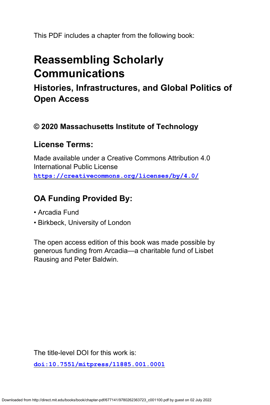This PDF includes a chapter from the following book:

# **Reassembling Scholarly Communications**

**Histories, Infrastructures, and Global Politics of Open Access**

## **© 2020 Massachusetts Institute of Technology**

## **License Terms:**

Made available under a Creative Commons Attribution 4.0 International Public License **<https://creativecommons.org/licenses/by/4.0/>**

# **OA Funding Provided By:**

- Arcadia Fund
- Birkbeck, University of London

The open access edition of this book was made possible by generous funding from Arcadia—a charitable fund of Lisbet Rausing and Peter Baldwin.

The title-level DOI for this work is:

**[doi:10.7551/mitpress/11885.001.0001](https://doi.org/10.7551/mitpress/11885.001.0001)**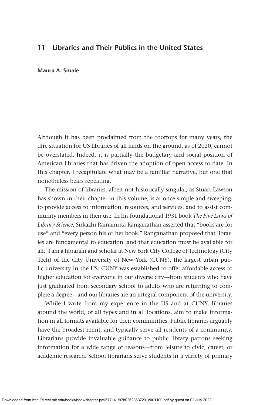### **11 Libraries and Their Publics in the United States**

#### **Maura A. Smale**

Although it has been proclaimed from the rooftops for many years, the dire situation for US libraries of all kinds on the ground, as of 2020, cannot be overstated. Indeed, it is partially the budgetary and social position of American libraries that has driven the adoption of open access to date. In this chapter, I recapitulate what may be a familiar narrative, but one that nonetheless bears repeating.

The mission of libraries, albeit not historically singular, as Stuart Lawson has shown in their chapter in this volume, is at once simple and sweeping: to provide access to information, resources, and services, and to assist community members in their use. In his foundational 1931 book *The Five Laws of Library Science*, Sirkazhi Ramamrita Ranganathan asserted that "books are for use" and "every person his or her book." Ranganathan proposed that libraries are fundamental to education, and that education must be available for all.<sup>1</sup> I am a librarian and scholar at New York City College of Technology (City Tech) of the City University of New York (CUNY), the largest urban public university in the US. CUNY was established to offer affordable access to higher education for everyone in our diverse city—from students who have just graduated from secondary school to adults who are returning to complete a degree—and our libraries are an integral component of the university.

While I write from my experience in the US and at CUNY, libraries around the world, of all types and in all locations, aim to make information in all formats available for their communities. Public libraries arguably have the broadest remit, and typically serve all residents of a community. Librarians provide invaluable guidance to public library patrons seeking information for a wide range of reasons—from leisure to civic, career, or academic research. School librarians serve students in a variety of primary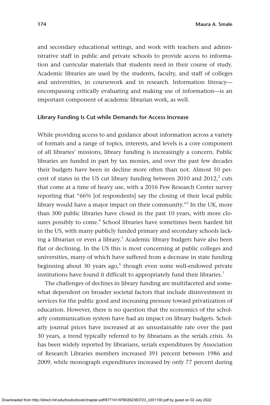and secondary educational settings, and work with teachers and administrative staff in public and private schools to provide access to information and curricular materials that students need in their course of study. Academic libraries are used by the students, faculty, and staff of colleges and universities, in coursework and in research. Information literacy encompassing critically evaluating and making use of information—is an important component of academic librarian work, as well.

#### **Library Funding Is Cut while Demands for Access Increase**

While providing access to and guidance about information across a variety of formats and a range of topics, interests, and levels is a core component of all libraries' missions, library funding is increasingly a concern. Public libraries are funded in part by tax monies, and over the past few decades their budgets have been in decline more often than not. Almost 50 percent of states in the US cut library funding between 2010 and  $2012<sub>i</sub><sup>2</sup>$  cuts that come at a time of heavy use, with a 2016 Pew Research Center survey reporting that "66% [of respondents] say the closing of their local public library would have a major impact on their community."<sup>3</sup> In the UK, more than 300 public libraries have closed in the past 10 years, with more closures possibly to come.<sup>4</sup> School libraries have sometimes been hardest hit in the US, with many publicly funded primary and secondary schools lacking a librarian or even a library.<sup>5</sup> Academic library budgets have also been flat or declining. In the US this is most concerning at public colleges and universities, many of which have suffered from a decrease in state funding beginning about 30 years ago,<sup>6</sup> though even some well-endowed private institutions have found it difficult to appropriately fund their libraries.<sup>7</sup>

The challenges of declines in library funding are multifaceted and somewhat dependent on broader societal factors that include disinvestment in services for the public good and increasing pressure toward privatization of education. However, there is no question that the economics of the scholarly communication system have had an impact on library budgets. Scholarly journal prices have increased at an unsustainable rate over the past 30 years, a trend typically referred to by librarians as the serials crisis. As has been widely reported by librarians, serials expenditures by Association of Research Libraries members increased 391 percent between 1986 and 2009, while monograph expenditures increased by only 77 percent during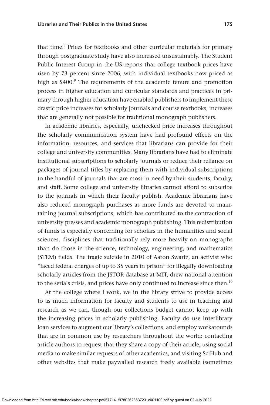that time.<sup>8</sup> Prices for textbooks and other curricular materials for primary through postgraduate study have also increased unsustainably. The Student Public Interest Group in the US reports that college textbook prices have risen by 73 percent since 2006, with individual textbooks now priced as high as \$400.<sup>9</sup> The requirements of the academic tenure and promotion process in higher education and curricular standards and practices in primary through higher education have enabled publishers to implement these drastic price increases for scholarly journals and course textbooks; increases that are generally not possible for traditional monograph publishers.

In academic libraries, especially, unchecked price increases throughout the scholarly communication system have had profound effects on the information, resources, and services that librarians can provide for their college and university communities. Many librarians have had to eliminate institutional subscriptions to scholarly journals or reduce their reliance on packages of journal titles by replacing them with individual subscriptions to the handful of journals that are most in need by their students, faculty, and staff. Some college and university libraries cannot afford to subscribe to the journals in which their faculty publish. Academic librarians have also reduced monograph purchases as more funds are devoted to maintaining journal subscriptions, which has contributed to the contraction of university presses and academic monograph publishing. This redistribution of funds is especially concerning for scholars in the humanities and social sciences, disciplines that traditionally rely more heavily on monographs than do those in the science, technology, engineering, and mathematics (STEM) fields. The tragic suicide in 2010 of Aaron Swartz, an activist who "faced federal charges of up to 35 years in prison" for illegally downloading scholarly articles from the JSTOR database at MIT, drew national attention to the serials crisis, and prices have only continued to increase since then.<sup>10</sup>

At the college where I work, we in the library strive to provide access to as much information for faculty and students to use in teaching and research as we can, though our collections budget cannot keep up with the increasing prices in scholarly publishing. Faculty do use interlibrary loan services to augment our library's collections, and employ workarounds that are in common use by researchers throughout the world: contacting article authors to request that they share a copy of their article, using social media to make similar requests of other academics, and visiting SciHub and other websites that make paywalled research freely available (sometimes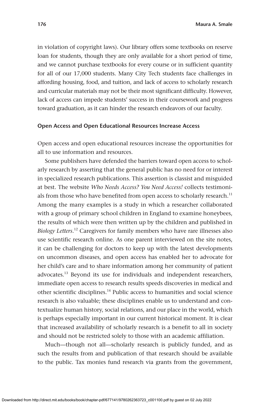in violation of copyright laws). Our library offers some textbooks on reserve loan for students, though they are only available for a short period of time, and we cannot purchase textbooks for every course or in sufficient quantity for all of our 17,000 students. Many City Tech students face challenges in affording housing, food, and tuition, and lack of access to scholarly research and curricular materials may not be their most significant difficulty. However, lack of access can impede students' success in their coursework and progress toward graduation, as it can hinder the research endeavors of our faculty.

#### **Open Access and Open Educational Resources Increase Access**

Open access and open educational resources increase the opportunities for all to use information and resources.

Some publishers have defended the barriers toward open access to scholarly research by asserting that the general public has no need for or interest in specialized research publications. This assertion is classist and misguided at best. The website *Who Needs Access? You Need Access!* collects testimonials from those who have benefited from open access to scholarly research.<sup>11</sup> Among the many examples is a study in which a researcher collaborated with a group of primary school children in England to examine honeybees, the results of which were then written up by the children and published in *Biology Letters*. 12 Caregivers for family members who have rare illnesses also use scientific research online. As one parent interviewed on the site notes, it can be challenging for doctors to keep up with the latest developments on uncommon diseases, and open access has enabled her to advocate for her child's care and to share information among her community of patient advocates.13 Beyond its use for individuals and independent researchers, immediate open access to research results speeds discoveries in medical and other scientific disciplines.14 Public access to humanities and social science research is also valuable; these disciplines enable us to understand and contextualize human history, social relations, and our place in the world, which is perhaps especially important in our current historical moment. It is clear that increased availability of scholarly research is a benefit to all in society and should not be restricted solely to those with an academic affiliation.

Much—though not all—scholarly research is publicly funded, and as such the results from and publication of that research should be available to the public. Tax monies fund research via grants from the government,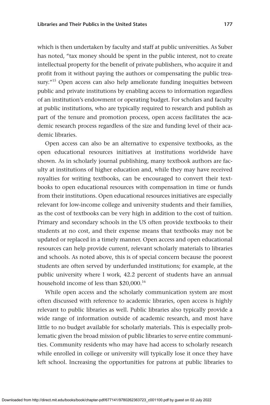which is then undertaken by faculty and staff at public universities. As Suber has noted, "tax money should be spent in the public interest, not to create intellectual property for the benefit of private publishers, who acquire it and profit from it without paying the authors or compensating the public treasury."<sup>15</sup> Open access can also help ameliorate funding inequities between public and private institutions by enabling access to information regardless of an institution's endowment or operating budget. For scholars and faculty at public institutions, who are typically required to research and publish as part of the tenure and promotion process, open access facilitates the academic research process regardless of the size and funding level of their academic libraries.

Open access can also be an alternative to expensive textbooks, as the open educational resources initiatives at institutions worldwide have shown. As in scholarly journal publishing, many textbook authors are faculty at institutions of higher education and, while they may have received royalties for writing textbooks, can be encouraged to convert their textbooks to open educational resources with compensation in time or funds from their institutions. Open educational resources initiatives are especially relevant for low-income college and university students and their families, as the cost of textbooks can be very high in addition to the cost of tuition. Primary and secondary schools in the US often provide textbooks to their students at no cost, and their expense means that textbooks may not be updated or replaced in a timely manner. Open access and open educational resources can help provide current, relevant scholarly materials to libraries and schools. As noted above, this is of special concern because the poorest students are often served by underfunded institutions; for example, at the public university where I work, 42.2 percent of students have an annual household income of less than \$20,000.<sup>16</sup>

While open access and the scholarly communication system are most often discussed with reference to academic libraries, open access is highly relevant to public libraries as well. Public libraries also typically provide a wide range of information outside of academic research, and most have little to no budget available for scholarly materials. This is especially problematic given the broad mission of public libraries to serve entire communities. Community residents who may have had access to scholarly research while enrolled in college or university will typically lose it once they have left school. Increasing the opportunities for patrons at public libraries to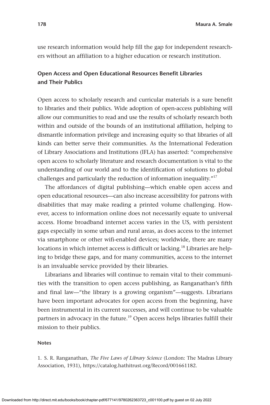**178 Maura A. Smale**

use research information would help fill the gap for independent researchers without an affiliation to a higher education or research institution.

### **Open Access and Open Educational Resources Benefit Libraries and Their Publics**

Open access to scholarly research and curricular materials is a sure benefit to libraries and their publics. Wide adoption of open-access publishing will allow our communities to read and use the results of scholarly research both within and outside of the bounds of an institutional affiliation, helping to dismantle information privilege and increasing equity so that libraries of all kinds can better serve their communities. As the International Federation of Library Associations and Institutions (IFLA) has asserted: "comprehensive open access to scholarly literature and research documentation is vital to the understanding of our world and to the identification of solutions to global challenges and particularly the reduction of information inequality."17

The affordances of digital publishing—which enable open access and open educational resources—can also increase accessibility for patrons with disabilities that may make reading a printed volume challenging. However, access to information online does not necessarily equate to universal access. Home broadband internet access varies in the US, with persistent gaps especially in some urban and rural areas, as does access to the internet via smartphone or other wifi-enabled devices; worldwide, there are many locations in which internet access is difficult or lacking.<sup>18</sup> Libraries are helping to bridge these gaps, and for many communities, access to the internet is an invaluable service provided by their libraries.

Librarians and libraries will continue to remain vital to their communities with the transition to open access publishing, as Ranganathan's fifth and final law—"the library is a growing organism"—suggests. Librarians have been important advocates for open access from the beginning, have been instrumental in its current successes, and will continue to be valuable partners in advocacy in the future.<sup>19</sup> Open access helps libraries fulfill their mission to their publics.

#### **Notes**

1. S. R. Ranganathan, *The Five Laws of Library Science* (London: The Madras Library Association, 1931), <https://catalog.hathitrust.org/Record/001661182>.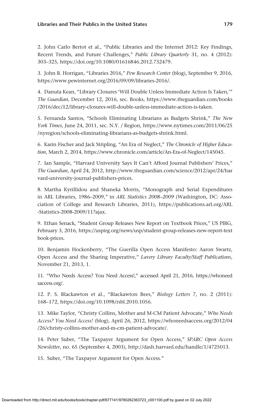2. John Carlo Bertot et al., "Public Libraries and the Internet 2012: Key Findings, Recent Trends, and Future Challenges," *Public Library Quarterly* 31, no. 4 (2012): 303–325, [https://doi.org/10.1080/01616846.2012.732479.](https://doi.org/10.1080/01616846.2012.732479)

3. John B. Horrigan, "Libraries 2016," *Pew Research Center* (blog), September 9, 2016, [https://www.pewinternet.org/2016/09/09/libraries-2016/.](https://www.pewinternet.org/2016/09/09/libraries-2016/)

4. Danuta Kean, "Library Closures 'Will Double Unless Immediate Action Is Taken,'" *The Guardian*, December 12, 2016, sec. Books, [https://www.theguardian.com/books](https://www.theguardian.com/books/2016/dec/12/library-closures-will-double-unless-immediate-action-is-taken) [/2016/dec/12/library-closures-will-double-unless-immediate-action-is-taken.](https://www.theguardian.com/books/2016/dec/12/library-closures-will-double-unless-immediate-action-is-taken)

5. Fernanda Santos, "Schools Eliminating Librarians as Budgets Shrink," *The New York Times*, June 24, 2011, sec. N.Y. / Region, [https://www.nytimes.com/2011/06/25](https://www.nytimes.com/2011/06/25/nyregion/schools-eliminating-librarians-as-budgets-shrink.html) [/nyregion/schools-eliminating-librarians-as-budgets-shrink.html](https://www.nytimes.com/2011/06/25/nyregion/schools-eliminating-librarians-as-budgets-shrink.html).

6. Karin Fischer and Jack Stripling, "An Era of Neglect," *The Chronicle of Higher Education*, March 2, 2014, <https://www.chronicle.com/article/An-Era-of-Neglect/145045>.

7. Ian Sample, "Harvard University Says It Can't Afford Journal Publishers' Prices," *The Guardian*, April 24, 2012, [http://www.theguardian.com/science/2012/apr/24/har](http://www.theguardian.com/science/2012/apr/24/harvard-university-journal-publishers-prices) [vard-university-journal-publishers-prices](http://www.theguardian.com/science/2012/apr/24/harvard-university-journal-publishers-prices).

8. Martha Kyrillidou and Shaneka Morris, "Monograph and Serial Expenditures in ARL Libraries, 1986–2009," in *ARL Statistics 2008–2009* (Washington, DC: Association of College and Research Libraries, 2011), [https://publications.arl.org/ARL](https://publications.arl.org/ARL-Statistics-2008-2009/11?ajax) [-Statistics-2008-2009/11?ajax.](https://publications.arl.org/ARL-Statistics-2008-2009/11?ajax)

9. Ethan Senack, "Student Group Releases New Report on Textbook Prices," US PIRG, February 3, 2016, [https://uspirg.org/news/usp/student-group-releases-new-report-text](https://uspirg.org/news/usp/student-group-releases-new-report-textbook-prices) [book-prices](https://uspirg.org/news/usp/student-group-releases-new-report-textbook-prices).

10. Benjamin Hockenberry, "The Guerilla Open Access Manifesto: Aaron Swartz, Open Access and the Sharing Imperative," *Lavery Library Faculty/Staff Publications*, November 21, 2013, 1.

11. "Who Needs Access? You Need Access!," accessed April 21, 2016, [https://whoneed](https://whoneedsaccess.org/) [saccess.org/](https://whoneedsaccess.org/).

12. P. S. Blackawton et al., "Blackawton Bees," *Biology Letters* 7, no. 2 (2011): 168–172, [https://doi.org/10.1098/rsbl.2010.1056.](https://doi.org/10.1098/rsbl.2010.1056)

13. Mike Taylor, "Christy Collins, Mother and M-CM Patient Advocate," *Who Needs Access? You Need Access!* (blog), April 26, 2012, [https://whoneedsaccess.org/2012/04](https://whoneedsaccess.org/2012/04/26/christy-collins-mother-and-m-cm-patient-advocate/) [/26/christy-collins-mother-and-m-cm-patient-advocate/.](https://whoneedsaccess.org/2012/04/26/christy-collins-mother-and-m-cm-patient-advocate/)

14. Peter Suber, "The Taxpayer Argument for Open Access," *SPARC Open Access Newsletter*, no. 65 (September 4, 2003),<http://dash.harvard.edu/handle/1/4725013>.

15. Suber, "The Taxpayer Argument for Open Access."